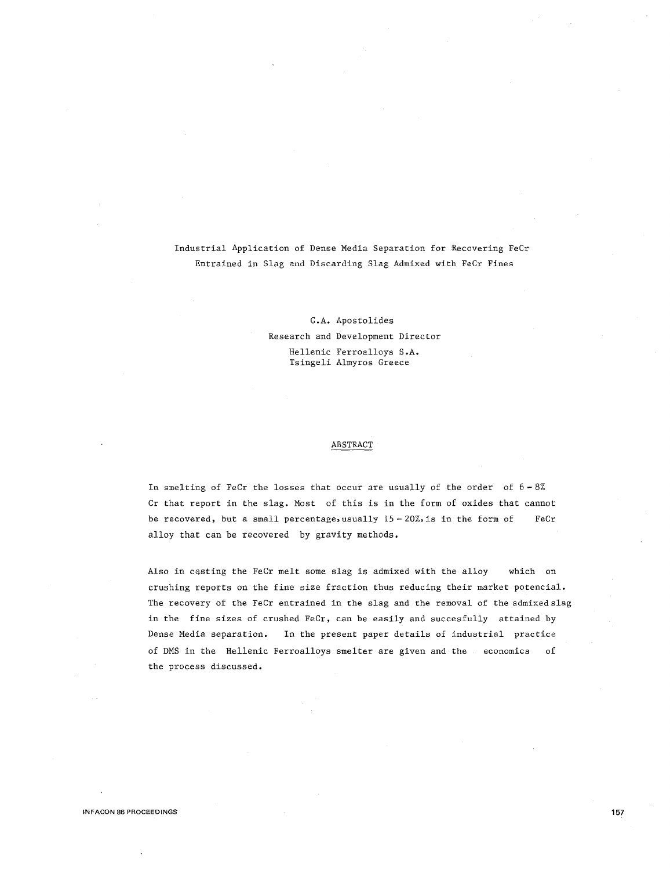Industrial Application of Dense Media Separation for Recovering FeCr Entrained in Slag and Discarding Slag Admixed with FeCr Fines

> G.A. Apostolides Research and Development Director Hellenic Ferroalloys S.A. Tsingeli Almyros Greece

## ABSTRACT

In smelting of FeCr the losses that occur are usually of the order of  $6 - 8\%$ Cr that report in the slag. Most of this is in the form of oxides that cannot be recovered, but a small percentage, usually  $15 - 20\%$ , is in the form of alloy that can be recovered by gravity methods. Fe Cr

Also in casting the FeCr melt some slag is admixed with the alloy which on crushing reports on the fine size fraction thus reducing their market potencial. The recovery of the FeCr entrained in the slag and the removal of the admixedslag in the fine sizes of crushed FeCr, can be easily and succesfully attained by Dense Media separation. In the present paper details of industrial practice of DMS in the Hellenic Ferroalloys smelter are given and the economics of the process discussed.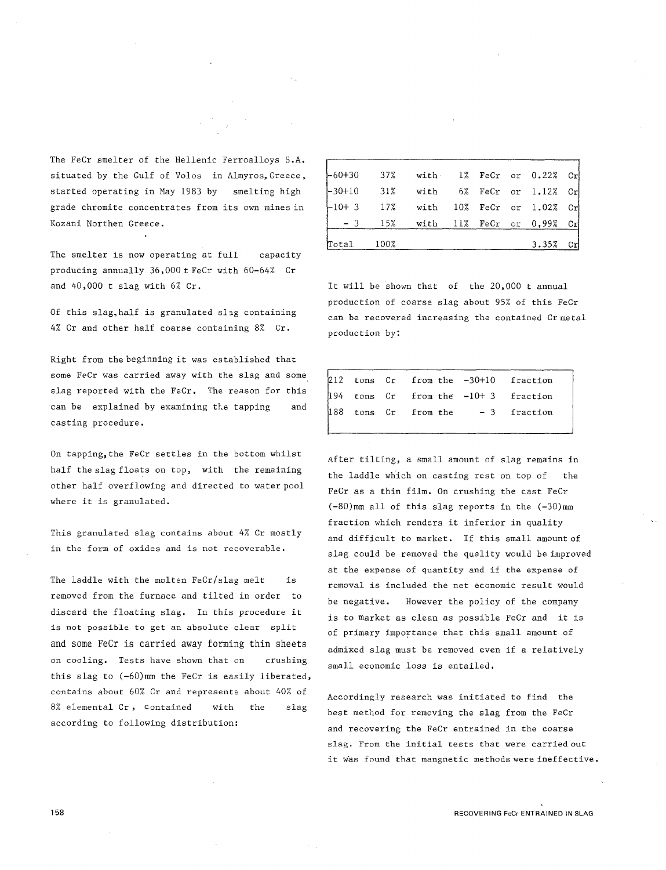The FeCr smelter of the Hellenic Ferroalloys S.A. situated by the Gulf of Volos in Almyros,Greece, started operating in May 1983 by smelting high grade chromite concentrates from its own mines in Kozani Northen Greece.

The smelter is now operating at full capacity producing annually 36,000 t FeCr with 60-64% Cr and 40,000 t slag with 6% Cr.

Of this slag, half is granulated slag containing 4% Cr and other half coarse containing 8% Cr.

Right from the beginning it was established that some FeCr was carried away with the slag and some slag reported with the FeCr. The reason for this can be explained by examining the tapping and casting procedure.

On tapping, the FeCr settles in the bottom whilst half the slag floats on top, with the remaining other half overflowing and directed to water pool where it is granulated.

This granulated slag contains about 4% Cr mostly in the form of oxides and is not recoverable.

The laddle with the molten  $FeCr/s$ lag melt is removed from the furnace and tilted in order to discard the floating slag. In this procedure it is not possible to get an absolute clear split and some FeCr is carried away forming thin sheets on cooling. Tests have shown that on crushing this slag to (-60)mm the FeCr is easily liberated, contains about 60% Cr and represents about 40% of 8% elemental Cr, contained with the slag according to following distribution:

|                                        | $-3$ 15% with 11% FeCr or 0,99% Cr |  |  |  |
|----------------------------------------|------------------------------------|--|--|--|
| $[-10+3$ 17% with 10% FeCr or 1.02% Cr |                                    |  |  |  |
| $-30+10$ 31% with 6% FeCr or 1.12% Cr  |                                    |  |  |  |
| $[-60+30$ 37% with 1% FeCr or 0.22% Cr |                                    |  |  |  |

It will be shown that of the 20,000 t annual production of coarse slag about 95% of this FeCr can be recovered increasing the contained Cr metal production by:

|  | 212 tons Cr from the -30+10 fraction                                        |  |
|--|-----------------------------------------------------------------------------|--|
|  | 194 tons $Cr$ from the -10+3 fraction<br>188 tons $Cr$ from the -3 fraction |  |
|  |                                                                             |  |
|  |                                                                             |  |

After tilting, a small amount of slag remains in the laddle which on casting rest on top of the FeCr as a thin film. On crushing the cast FeCr (-80)mm all of this slag reports in the (-30)mm fraction which renders it inferior in quality and difficult to market. If this small amount of slag could be removed the quality would be improved at the expense of quantity and if the expense of removal is included the net economic result would be negative. However the policy of the company is to market as clean as possible FeCr and it is of primary importance that this small amount of admixed slag must be removed even if a relatively small economic loss is entailed.

Accordingly research was initiated to find the best method for removing the slag from the FeCr and recovering the FeCr entrained in the coarse slag. From the initial tests that were carried out it was found that mangnetic methods were ineffective.

RECOVERING FeCr ENTRAINED IN SLAG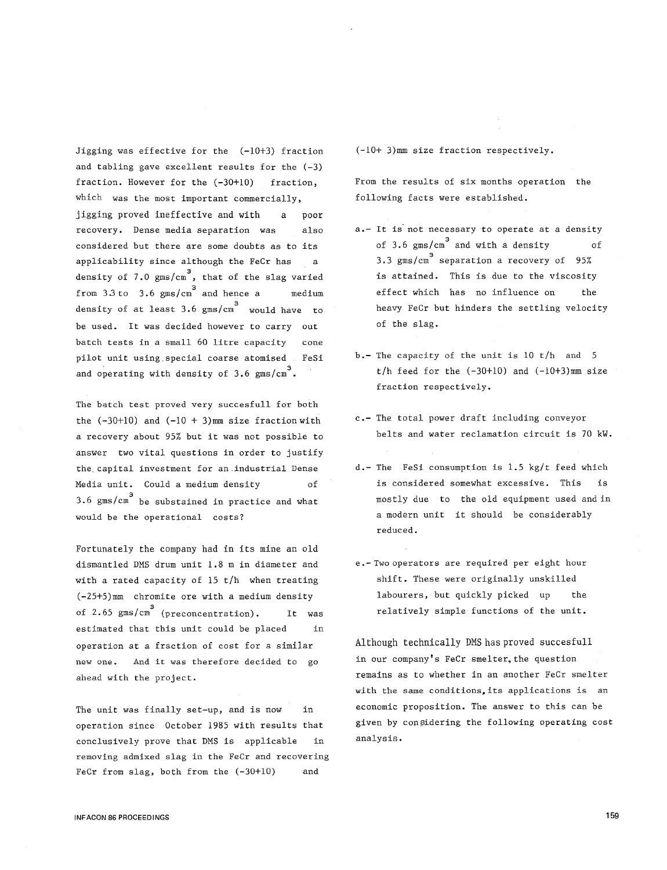Jigging was effective for the (-10+3) fraction and tabling gave excellent results for the  $(-3)$ fraction. However for the  $(-30+10)$  fraction, which was the most important commercially, jigging proved ineffective and with a recovery. Dense media separation was poor also considered but there are some doubts as to its applicability since although the FeCr has a density of  $7.0 \text{ gms/cm}^3$ , that of the slag varied from  $3.3 \text{ to } 3.6 \text{ gms/cm}^3$  and hence a medium density of at least 3.6 gms/cm<sup>3</sup> would have to be used. It was decided however to carry out batch tests in a small 60 litre capacity cone pilot unit using special coarse atomised FeSi and operating with density of  $3.6$  gms/cm<sup>3</sup>.

The batch test proved very succesfull for both the  $(-30+10)$  and  $(-10 + 3)$ mm size fraction with a recovery about 95% but it was not possible to answer two vital questions in order to justify the. capital investment for an.industrial Dense Media unit. Could a medium density of  $3.6$  gms/cm $^3$  be substained in practice and what would be the operational costs?

Fortunately the company had in its mine an old dismantled DMS drum unit 1.8 m in diameter and with a rated capacity of 15 t/h when treating  $(-25+5)$ mm chromite ore with a medium density of 2.65  $gms/cm<sup>3</sup>$  (preconcentration). It was estimated that this unit could be placed in operation at a fraction of cost for a similar Although technically DMS has proved succesfull **new one.** And it was therefore decided to go ahead with the project.

The unit was finally set-up, and is now in operation since October 1985 with results that conclusively prove that DMS is applicable in removing admixed slag in the FeCr and recovering FeCr from slag, both from the  $(-30+10)$  and

 $(-10+ 3)$ mm size fraction respectively.

From the results of six months operation the following facts were established.

- a.- It is not necessary to operate at a density of 3.6  $gms/cm^3$  and with a density of 3.3 gms/cm<sup>3</sup> separation a recovery of 95% is attained. This is due to the viscosity effect which has no influence on the heavy FeCr but hinders the settling velocity of the slag.
- b.- The capacity of the unit is 10 t/h and 5  $t/h$  feed for the  $(-30+10)$  and  $(-10+3)$ mm size fraction respectively.
- c.- The total power draft including conveyor belts and water reclamation circuit is 70 kW.
- d.- The FeSi consumption is 1.5 kg/t feed which is considered somewhat excessive. This is mostly due to the old equipment used and in a modern unit it should be considerably reduced.
- e. Two operators are required per eight hour shift. These were originally unskilled labourers, but quickly picked up the relatively simple functions of the unit.

in our company's FeCr smelter, the question remains as to whether in an another FeCr smelter with the same conditions, its applications is an economic proposition. The answer to this can be given by considering the following operating cost analysis.